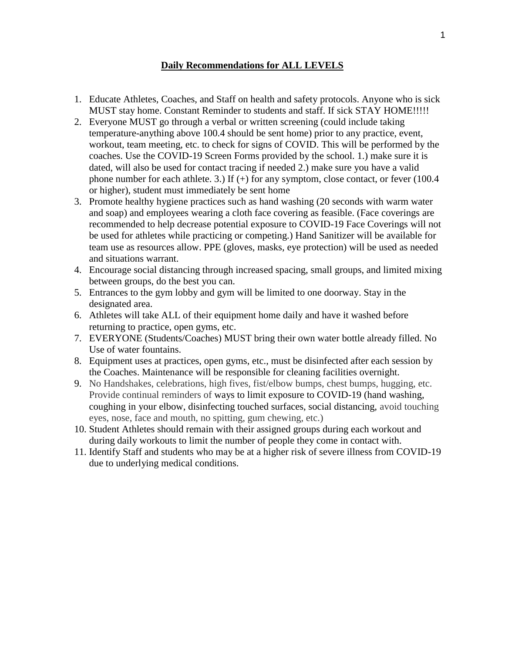## **Daily Recommendations for ALL LEVELS**

- 1. Educate Athletes, Coaches, and Staff on health and safety protocols. Anyone who is sick MUST stay home. Constant Reminder to students and staff. If sick STAY HOME!!!!!
- 2. Everyone MUST go through a verbal or written screening (could include taking temperature-anything above 100.4 should be sent home) prior to any practice, event, workout, team meeting, etc. to check for signs of COVID. This will be performed by the coaches. Use the COVID-19 Screen Forms provided by the school. 1.) make sure it is dated, will also be used for contact tracing if needed 2.) make sure you have a valid phone number for each athlete. 3.) If  $(+)$  for any symptom, close contact, or fever (100.4 or higher), student must immediately be sent home
- 3. Promote healthy hygiene practices such as hand washing (20 seconds with warm water and soap) and employees wearing a cloth face covering as feasible. (Face coverings are recommended to help decrease potential exposure to COVID-19 Face Coverings will not be used for athletes while practicing or competing.) Hand Sanitizer will be available for team use as resources allow. PPE (gloves, masks, eye protection) will be used as needed and situations warrant.
- 4. Encourage social distancing through increased spacing, small groups, and limited mixing between groups, do the best you can.
- 5. Entrances to the gym lobby and gym will be limited to one doorway. Stay in the designated area.
- 6. Athletes will take ALL of their equipment home daily and have it washed before returning to practice, open gyms, etc.
- 7. EVERYONE (Students/Coaches) MUST bring their own water bottle already filled. No Use of water fountains.
- 8. Equipment uses at practices, open gyms, etc., must be disinfected after each session by the Coaches. Maintenance will be responsible for cleaning facilities overnight.
- 9. No Handshakes, celebrations, high fives, fist/elbow bumps, chest bumps, hugging, etc. Provide continual reminders of ways to limit exposure to COVID-19 (hand washing, coughing in your elbow, disinfecting touched surfaces, social distancing, avoid touching eyes, nose, face and mouth, no spitting, gum chewing, etc.)
- 10. Student Athletes should remain with their assigned groups during each workout and during daily workouts to limit the number of people they come in contact with.
- 11. Identify Staff and students who may be at a higher risk of severe illness from COVID-19 due to underlying medical conditions.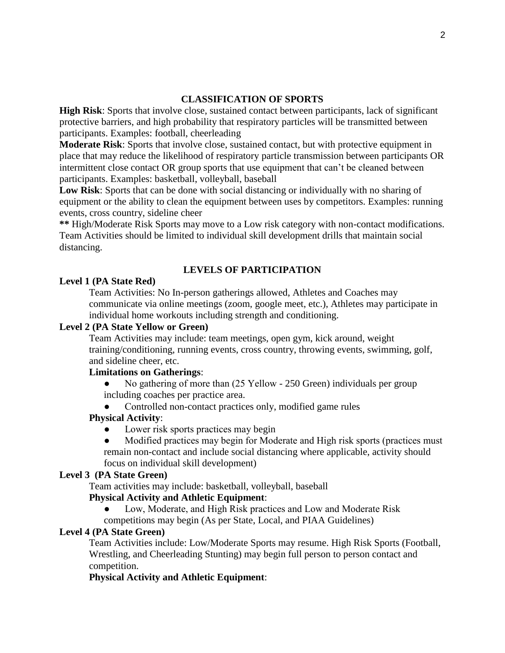## **CLASSIFICATION OF SPORTS**

**High Risk**: Sports that involve close, sustained contact between participants, lack of significant protective barriers, and high probability that respiratory particles will be transmitted between participants. Examples: football, cheerleading

**Moderate Risk**: Sports that involve close, sustained contact, but with protective equipment in place that may reduce the likelihood of respiratory particle transmission between participants OR intermittent close contact OR group sports that use equipment that can't be cleaned between participants. Examples: basketball, volleyball, baseball

**Low Risk**: Sports that can be done with social distancing or individually with no sharing of equipment or the ability to clean the equipment between uses by competitors. Examples: running events, cross country, sideline cheer

**\*\*** High/Moderate Risk Sports may move to a Low risk category with non-contact modifications. Team Activities should be limited to individual skill development drills that maintain social distancing.

# **LEVELS OF PARTICIPATION**

## **Level 1 (PA State Red)**

Team Activities: No In-person gatherings allowed, Athletes and Coaches may communicate via online meetings (zoom, google meet, etc.), Athletes may participate in individual home workouts including strength and conditioning.

## **Level 2 (PA State Yellow or Green)**

Team Activities may include: team meetings, open gym, kick around, weight training/conditioning, running events, cross country, throwing events, swimming, golf, and sideline cheer, etc.

## **Limitations on Gatherings**:

No gathering of more than (25 Yellow - 250 Green) individuals per group including coaches per practice area.

Controlled non-contact practices only, modified game rules

#### **Physical Activity**:

- Lower risk sports practices may begin
- Modified practices may begin for Moderate and High risk sports (practices must remain non-contact and include social distancing where applicable, activity should focus on individual skill development)

#### **Level 3 (PA State Green)**

Team activities may include: basketball, volleyball, baseball

#### **Physical Activity and Athletic Equipment**:

- Low, Moderate, and High Risk practices and Low and Moderate Risk
- competitions may begin (As per State, Local, and PIAA Guidelines)

## **Level 4 (PA State Green)**

Team Activities include: Low/Moderate Sports may resume. High Risk Sports (Football, Wrestling, and Cheerleading Stunting) may begin full person to person contact and competition.

## **Physical Activity and Athletic Equipment**: